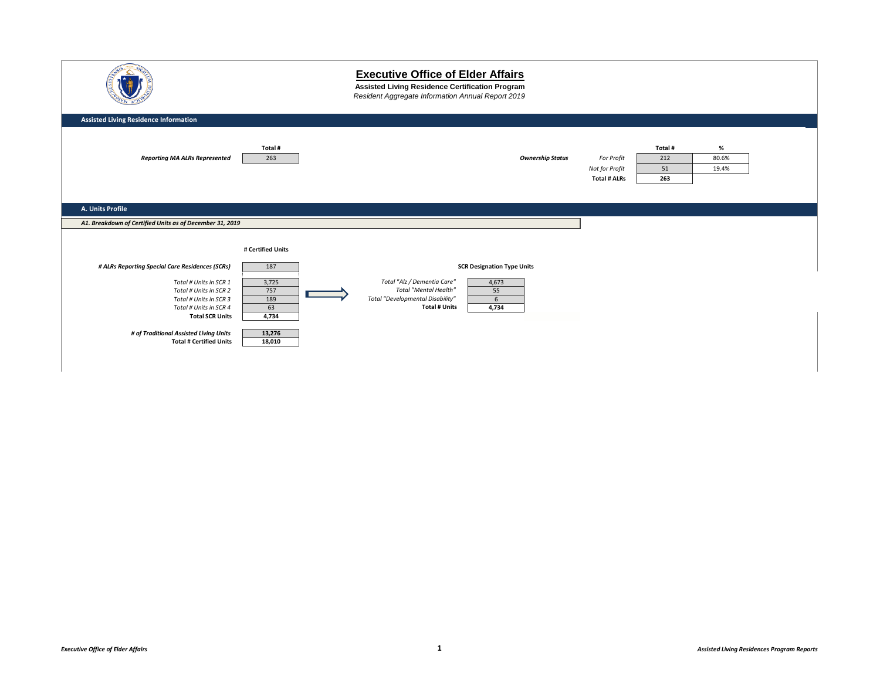|                                                                                                                                                                                                                                                               |                                                               | <b>Executive Office of Elder Affairs</b><br>Assisted Living Residence Certification Program<br>Resident Aggregate Information Annual Report 2019                                                        |                                                     |                             |                        |  |
|---------------------------------------------------------------------------------------------------------------------------------------------------------------------------------------------------------------------------------------------------------------|---------------------------------------------------------------|---------------------------------------------------------------------------------------------------------------------------------------------------------------------------------------------------------|-----------------------------------------------------|-----------------------------|------------------------|--|
| <b>Assisted Living Residence Information</b>                                                                                                                                                                                                                  |                                                               |                                                                                                                                                                                                         |                                                     |                             |                        |  |
| <b>Reporting MA ALRs Represented</b>                                                                                                                                                                                                                          | Total#<br>263                                                 | <b>Ownership Status</b>                                                                                                                                                                                 | For Profit<br>Not for Profit<br><b>Total # ALRs</b> | Total #<br>212<br>51<br>263 | $\%$<br>80.6%<br>19.4% |  |
| A. Units Profile                                                                                                                                                                                                                                              |                                                               |                                                                                                                                                                                                         |                                                     |                             |                        |  |
| A1. Breakdown of Certified Units as of December 31, 2019                                                                                                                                                                                                      |                                                               |                                                                                                                                                                                                         |                                                     |                             |                        |  |
|                                                                                                                                                                                                                                                               | # Certified Units                                             |                                                                                                                                                                                                         |                                                     |                             |                        |  |
| # ALRs Reporting Special Care Residences (SCRs)<br>Total # Units in SCR 1<br>Total # Units in SCR 2<br>Total # Units in SCR 3<br>Total # Units in SCR 4<br><b>Total SCR Units</b><br># of Traditional Assisted Living Units<br><b>Total # Certified Units</b> | 187<br>3,725<br>757<br>189<br>63<br>4,734<br>13,276<br>18,010 | <b>SCR Designation Type Units</b><br>Total "Alz / Dementia Care"<br>4,673<br><b>Total "Mental Health"</b><br>55<br>Total "Developmental Disability"<br>$6\overline{6}$<br><b>Total # Units</b><br>4,734 |                                                     |                             |                        |  |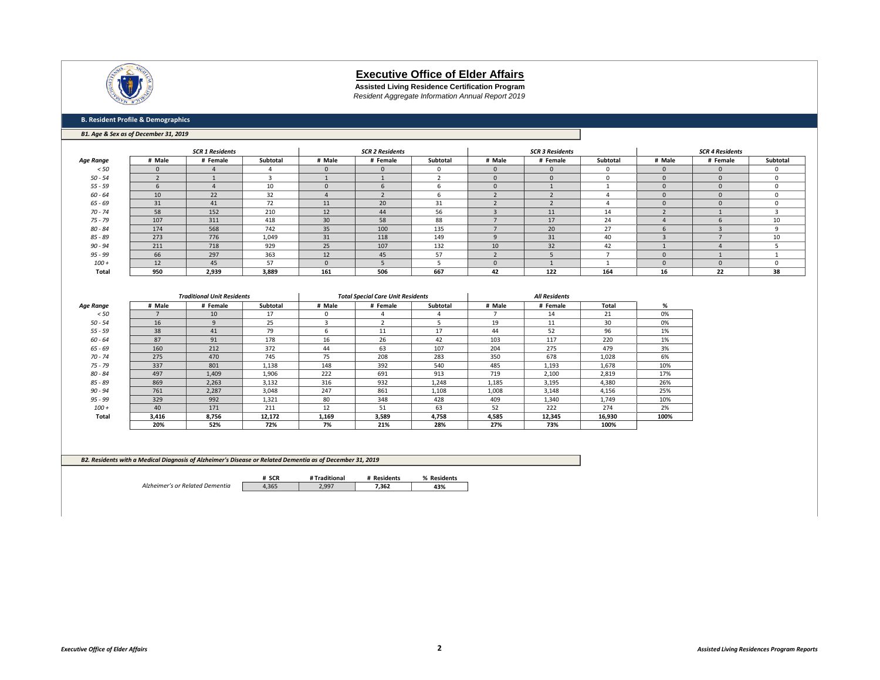

**Assisted Living Residence Certification Program** *Resident Aggregate Information Annual Report 2019*

#### **B. Resident Profile & Demographics**

#### *B1. Age & Sex as of December 31, 2019*

|           |          | <b>SCR 1 Residents</b> |          |          | <b>SCR 2 Residents</b><br><b>SCR 3 Residents</b> |          |          | <b>SCR 4 Residents</b> |          |          |          |          |
|-----------|----------|------------------------|----------|----------|--------------------------------------------------|----------|----------|------------------------|----------|----------|----------|----------|
| Age Range | # Male   | # Female               | Subtotal | # Male   | # Female                                         | Subtotal | # Male   | # Female               | Subtotal | # Male   | # Female | Subtotal |
| < 50      | $\Omega$ |                        |          |          | $\Omega$                                         |          |          |                        | ſ        | $\Omega$ |          | n        |
| $50 - 54$ |          |                        |          |          |                                                  |          | $\Omega$ |                        | $\Omega$ | $\Omega$ | $\Omega$ | $\Omega$ |
| $55 - 59$ |          |                        | ΠL       |          |                                                  |          |          |                        |          |          |          | $\Omega$ |
| $60 - 64$ | 10       | 22                     | 32       |          |                                                  |          |          |                        |          | $\Omega$ |          | $\Omega$ |
| $65 - 69$ | 31       | 41                     | 72       | 11       | 20                                               | 31       |          |                        |          |          |          | n        |
| $70 - 74$ | 58       | 152                    | 210      | 12       | 44                                               | 56       |          | 11                     | 14       |          |          |          |
| 75 - 79   | 107      | 311                    | 418      | 30       | 58                                               | 88       |          | 17                     | 24       |          |          | 10       |
| $80 - 84$ | 174      | 568                    | 742      | 35       | 100                                              | 135      |          | 20                     | 27       |          |          | q        |
| 85 - 89   | 273      | 776                    | 1,049    | 31       | 118                                              | 149      |          | 31                     | 40       |          |          | 10       |
| $90 - 94$ | 211      | 718                    | 929      | 25       | 107                                              | 132      |          | 32                     | 42       |          |          |          |
| 95 - 99   | 66       | 297                    | 363      | 12       | 45                                               | 57       |          |                        |          | $\Omega$ |          |          |
| $100 +$   | 12       | 45                     | 57       | $\Omega$ |                                                  |          | $\Omega$ |                        |          | $\Omega$ | $\Omega$ | n        |
| Total     | 950      | 2,939                  | 3,889    | 161      | 506                                              | 667      | 42       | 122                    | 164      | 16       | 22       | 38       |

|                  |        | <b>Traditional Unit Residents</b> |          |              | <b>Total Special Care Unit Residents</b> |          |        | <b>All Residents</b> |        |      |
|------------------|--------|-----------------------------------|----------|--------------|------------------------------------------|----------|--------|----------------------|--------|------|
| <b>Age Range</b> | # Male | # Female                          | Subtotal | # Male       | # Female                                 | Subtotal | # Male | # Female             | Total  | %    |
| < 50             |        | 10                                | 17       | $\mathbf{0}$ |                                          |          |        | 14                   | 21     | 0%   |
| $50 - 54$        | 16     | $\mathbf{q}$                      | 25       |              |                                          |          | 19     | 11                   | 30     | 0%   |
| $55 - 59$        | 38     | 41                                | 79       | 6            | 11                                       | 17       | 44     | 52                   | 96     | 1%   |
| $60 - 64$        | 87     | 91                                | 178      | 16           | 26                                       | 42       | 103    | 117                  | 220    | 1%   |
| $65 - 69$        | 160    | 212                               | 372      | 44           | 63                                       | 107      | 204    | 275                  | 479    | 3%   |
| $70 - 74$        | 275    | 470                               | 745      | 75           | 208                                      | 283      | 350    | 678                  | 1,028  | 6%   |
| $75 - 79$        | 337    | 801                               | 1,138    | 148          | 392                                      | 540      | 485    | 1,193                | 1,678  | 10%  |
| $80 - 84$        | 497    | 1,409                             | 1,906    | 222          | 691                                      | 913      | 719    | 2,100                | 2,819  | 17%  |
| $85 - 89$        | 869    | 2,263                             | 3,132    | 316          | 932                                      | 1,248    | 1,185  | 3,195                | 4,380  | 26%  |
| $90 - 94$        | 761    | 2,287                             | 3,048    | 247          | 861                                      | 1,108    | 1,008  | 3,148                | 4,156  | 25%  |
| $95 - 99$        | 329    | 992                               | 1,321    | 80           | 348                                      | 428      | 409    | 1,340                | 1,749  | 10%  |
| $100 +$          | 40     | 171                               | 211      | 12           | 51                                       | 63       | 52     | 222                  | 274    | 2%   |
| Total            | 3,416  | 8,756                             | 12,172   | 1,169        | 3,589                                    | 4,758    | 4,585  | 12,345               | 16,930 | 100% |
|                  | 20%    | 52%                               | 72%      | 7%           | 21%                                      | 28%      | 27%    | 73%                  | 100%   |      |

| B2. Residents with a Medical Diagnosis of Alzheimer's Disease or Related Dementia as of December 31, 2019 |       |       |       |     |  |  |  |  |
|-----------------------------------------------------------------------------------------------------------|-------|-------|-------|-----|--|--|--|--|
| # Traditional<br># Residents<br>% Residents<br># SCR                                                      |       |       |       |     |  |  |  |  |
|                                                                                                           |       |       |       |     |  |  |  |  |
| Alzheimer's or Related Dementia                                                                           | 4.365 | 2.997 | 7.362 | 43% |  |  |  |  |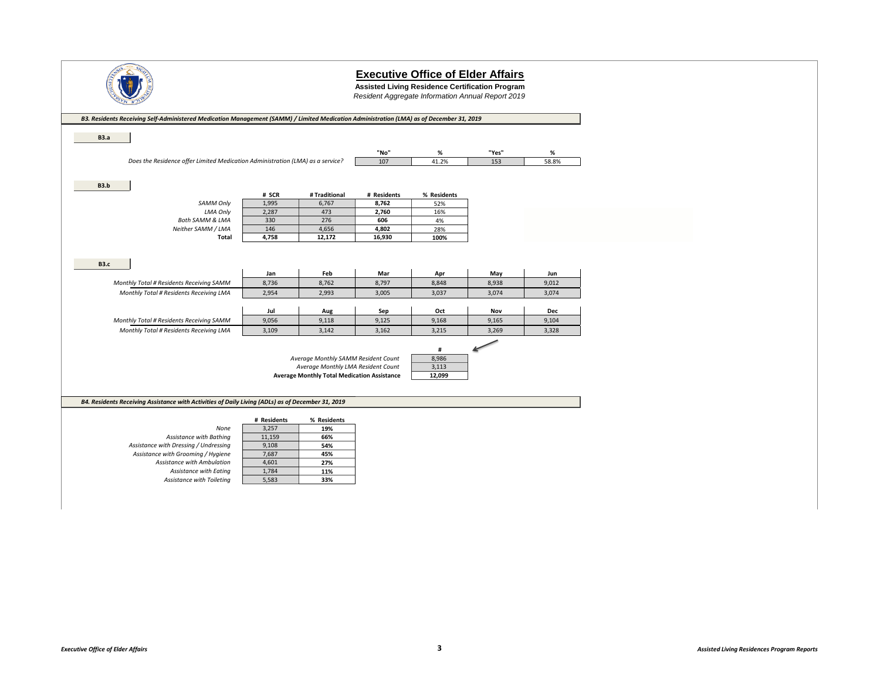

**Assisted Living Residence Certification Program**

*Resident Aggregate Information Annual Report 2019*

| B3. Residents Receiving Self-Administered Medication Management (SAMM) / Limited Medication Administration (LMA) as of December 31, 2019 |                      |                                                    |             |             |       |       |
|------------------------------------------------------------------------------------------------------------------------------------------|----------------------|----------------------------------------------------|-------------|-------------|-------|-------|
| <b>B3.a</b>                                                                                                                              |                      |                                                    |             |             |       |       |
|                                                                                                                                          |                      |                                                    |             |             |       |       |
|                                                                                                                                          |                      |                                                    | "No"        | %           | "Yes" | %     |
| Does the Residence offer Limited Medication Administration (LMA) as a service?                                                           |                      |                                                    | 107         | 41.2%       | 153   | 58.8% |
|                                                                                                                                          |                      |                                                    |             |             |       |       |
| <b>B3.b</b>                                                                                                                              |                      |                                                    |             |             |       |       |
|                                                                                                                                          | # SCR                | # Traditional                                      | # Residents | % Residents |       |       |
| <b>SAMM Only</b>                                                                                                                         | 1,995                | 6,767                                              | 8,762       | 52%         |       |       |
| <b>LMA Only</b>                                                                                                                          | 2,287                | 473                                                | 2,760       | 16%         |       |       |
| <b>Both SAMM &amp; LMA</b>                                                                                                               | 330                  | 276                                                | 606         | 4%          |       |       |
| Neither SAMM / LMA                                                                                                                       | 146                  | 4,656                                              | 4,802       | 28%         |       |       |
| Total                                                                                                                                    | 4,758                | 12,172                                             | 16,930      | 100%        |       |       |
|                                                                                                                                          |                      |                                                    |             |             |       |       |
|                                                                                                                                          |                      |                                                    |             |             |       |       |
| <b>B3.c</b>                                                                                                                              | Jan                  | Feb                                                | Mar         | Apr         | May   | Jun   |
| Monthly Total # Residents Receiving SAMM                                                                                                 | 8,736                | 8,762                                              | 8,797       | 8,848       | 8,938 | 9,012 |
| Monthly Total # Residents Receiving LMA                                                                                                  | 2,954                | 2,993                                              | 3,005       | 3,037       | 3,074 | 3,074 |
|                                                                                                                                          |                      |                                                    |             |             |       |       |
|                                                                                                                                          | Jul                  | Aug                                                | Sep         | Oct         | Nov   | Dec   |
| Monthly Total # Residents Receiving SAMM                                                                                                 | 9,056                | 9,118                                              | 9,125       | 9,168       | 9,165 | 9,104 |
| Monthly Total # Residents Receiving LMA                                                                                                  | 3,109                | 3,142                                              | 3,162       | 3,215       | 3,269 | 3,328 |
|                                                                                                                                          |                      |                                                    |             |             |       |       |
|                                                                                                                                          |                      |                                                    |             | #           |       |       |
|                                                                                                                                          |                      | Average Monthly SAMM Resident Count                |             | 8,986       |       |       |
|                                                                                                                                          |                      | Average Monthly LMA Resident Count                 |             | 3,113       |       |       |
|                                                                                                                                          |                      | <b>Average Monthly Total Medication Assistance</b> |             | 12,099      |       |       |
|                                                                                                                                          |                      |                                                    |             |             |       |       |
|                                                                                                                                          |                      |                                                    |             |             |       |       |
| B4. Residents Receiving Assistance with Activities of Daily Living (ADLs) as of December 31, 2019                                        |                      |                                                    |             |             |       |       |
|                                                                                                                                          |                      |                                                    |             |             |       |       |
| None                                                                                                                                     | # Residents<br>3,257 | % Residents<br>19%                                 |             |             |       |       |
| Assistance with Bathing                                                                                                                  | 11,159               | 66%                                                |             |             |       |       |
| Assistance with Dressing / Undressing                                                                                                    | 9,108                | 54%                                                |             |             |       |       |
| Assistance with Grooming / Hygiene                                                                                                       | 7,687                | 45%                                                |             |             |       |       |
| Assistance with Ambulation                                                                                                               | 4,601                | 27%                                                |             |             |       |       |
| Assistance with Eating                                                                                                                   | 1,784                | 11%                                                |             |             |       |       |
|                                                                                                                                          | 5,583                |                                                    |             |             |       |       |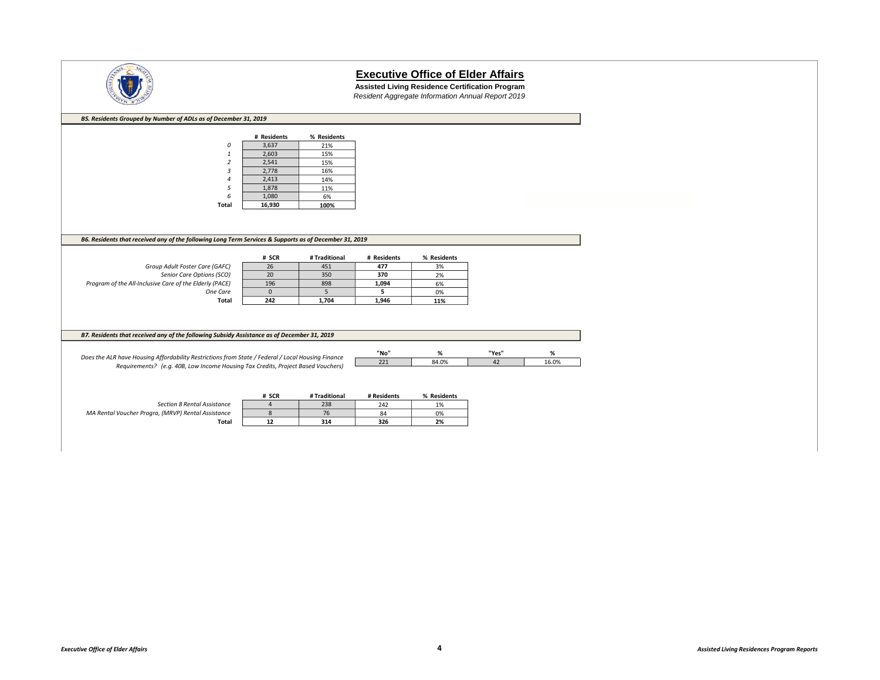

**Assisted Living Residence Certification Program** *Resident Aggregate Information Annual Report 2019*

| B5. Residents Grouped by Number of ADLs as of December 31, 2019                                        |                    |               |             |             |       |       |
|--------------------------------------------------------------------------------------------------------|--------------------|---------------|-------------|-------------|-------|-------|
|                                                                                                        | # Residents        | % Residents   |             |             |       |       |
| 0                                                                                                      | 3,637              | 21%           |             |             |       |       |
| $\mathbf{1}$                                                                                           | 2,603              | 15%           |             |             |       |       |
| $\overline{2}$                                                                                         | 2,541              | 15%           |             |             |       |       |
| 3                                                                                                      | 2,778              | 16%           |             |             |       |       |
|                                                                                                        | 2,413              | 14%           |             |             |       |       |
| 5                                                                                                      | 1,878              | 11%           |             |             |       |       |
| 6                                                                                                      | 1,080              | 6%            |             |             |       |       |
| Total                                                                                                  | 16,930             | 100%          |             |             |       |       |
|                                                                                                        |                    |               |             |             |       |       |
|                                                                                                        |                    |               |             |             |       |       |
|                                                                                                        |                    |               |             |             |       |       |
| B6. Residents that received any of the following Long Term Services & Supports as of December 31, 2019 |                    |               |             |             |       |       |
|                                                                                                        |                    |               |             |             |       |       |
|                                                                                                        | # SCR              | # Traditional | # Residents | % Residents |       |       |
| Group Adult Foster Care (GAFC)                                                                         | 26                 | 451           | 477         | 3%          |       |       |
| Senior Care Options (SCO)                                                                              | 20                 | 350           | 370         | 2%          |       |       |
| Program of the All-Inclusive Care of the Elderly (PACE)                                                | 196                | 898           | 1,094       | 6%          |       |       |
| One Care<br>Total                                                                                      | $\mathbf 0$<br>242 | 5<br>1,704    | 5<br>1,946  | 0%<br>11%   |       |       |
|                                                                                                        |                    |               |             |             |       |       |
|                                                                                                        |                    |               |             |             |       |       |
|                                                                                                        |                    |               |             |             |       |       |
| B7. Residents that received any of the following Subsidy Assistance as of December 31, 2019            |                    |               |             |             |       |       |
|                                                                                                        |                    |               |             |             |       |       |
|                                                                                                        |                    |               | "No"        | $\%$        | "Yes" | $\%$  |
| Does the ALR have Housing Affordability Restrictions from State / Federal / Local Housing Finance      |                    |               | 221         | 84.0%       | 42    | 16.0% |
| Requirements? (e.g. 40B, Low Income Housing Tax Credits, Project Based Vouchers)                       |                    |               |             |             |       |       |
|                                                                                                        |                    |               |             |             |       |       |
|                                                                                                        |                    |               |             |             |       |       |
|                                                                                                        | # SCR              | # Traditional | # Residents | % Residents |       |       |
| <b>Section 8 Rental Assistance</b>                                                                     | $\overline{4}$     | 238           | 242         | 1%          |       |       |
| MA Rental Voucher Progra, (MRVP) Rental Assistance                                                     | 8                  | 76            | 84          | 0%          |       |       |
| Total                                                                                                  | 12                 | 314           | 326         | 2%          |       |       |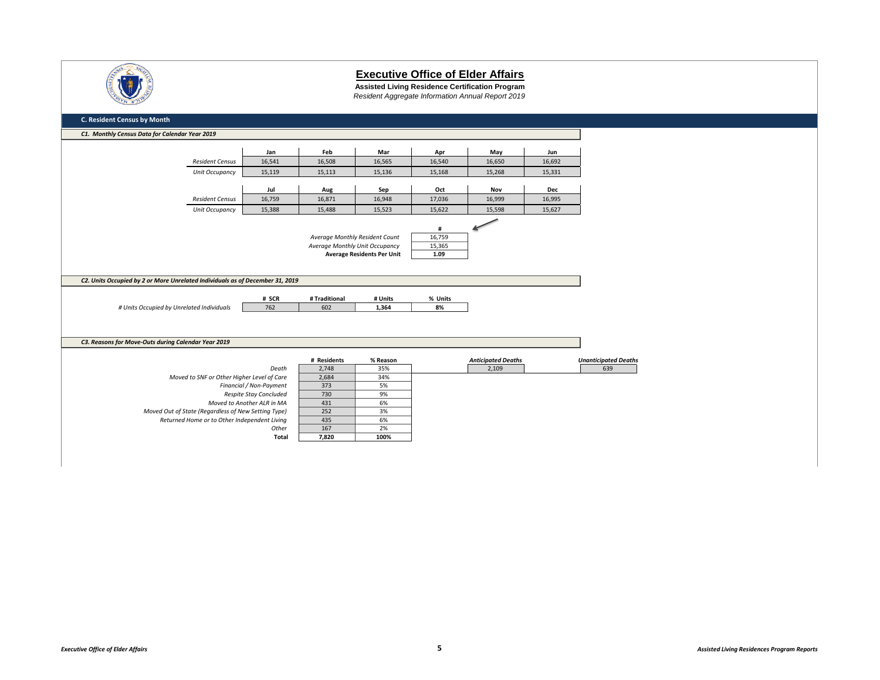

**Assisted Living Residence Certification Program** *Resident Aggregate Information Annual Report 2019*

| C1. Monthly Census Data for Calendar Year 2019                                                                                                                                       |                            |                                |                                   |               |                           |            |                             |
|--------------------------------------------------------------------------------------------------------------------------------------------------------------------------------------|----------------------------|--------------------------------|-----------------------------------|---------------|---------------------------|------------|-----------------------------|
|                                                                                                                                                                                      |                            |                                |                                   |               |                           |            |                             |
|                                                                                                                                                                                      | Jan                        | Feb                            | Mar                               | Apr           | May                       | Jun        |                             |
| <b>Resident Census</b>                                                                                                                                                               | 16,541                     | 16,508                         | 16,565                            | 16,540        | 16,650                    | 16,692     |                             |
| Unit Occupancy                                                                                                                                                                       | 15,119                     | 15,113                         | 15,136                            | 15,168        | 15,268                    | 15,331     |                             |
|                                                                                                                                                                                      | Jul                        | Aug                            | Sep                               | Oct           | Nov                       | <b>Dec</b> |                             |
| <b>Resident Census</b>                                                                                                                                                               | 16,759                     | 16,871                         | 16,948                            | 17,036        | 16,999                    | 16,995     |                             |
|                                                                                                                                                                                      |                            |                                |                                   |               |                           |            |                             |
| Unit Occupancy                                                                                                                                                                       | 15,388                     | 15,488                         | 15,523                            | 15,622        | 15,598                    | 15,627     |                             |
|                                                                                                                                                                                      |                            |                                |                                   | #             |                           |            |                             |
|                                                                                                                                                                                      |                            |                                | Average Monthly Resident Count    | 16,759        |                           |            |                             |
|                                                                                                                                                                                      |                            | Average Monthly Unit Occupancy |                                   | 15,365        |                           |            |                             |
|                                                                                                                                                                                      |                            |                                | <b>Average Residents Per Unit</b> | 1.09          |                           |            |                             |
|                                                                                                                                                                                      |                            |                                |                                   |               |                           |            |                             |
|                                                                                                                                                                                      |                            |                                |                                   |               |                           |            |                             |
|                                                                                                                                                                                      |                            |                                |                                   |               |                           |            |                             |
|                                                                                                                                                                                      |                            |                                |                                   |               |                           |            |                             |
|                                                                                                                                                                                      |                            | # Traditional                  |                                   |               |                           |            |                             |
| # Units Occupied by Unrelated Individuals                                                                                                                                            | # SCR<br>762               | 602                            | # Units<br>1,364                  | % Units<br>8% |                           |            |                             |
|                                                                                                                                                                                      |                            |                                |                                   |               |                           |            |                             |
|                                                                                                                                                                                      |                            |                                |                                   |               |                           |            |                             |
|                                                                                                                                                                                      |                            |                                |                                   |               |                           |            |                             |
|                                                                                                                                                                                      |                            |                                |                                   |               |                           |            |                             |
|                                                                                                                                                                                      |                            | # Residents                    | % Reason                          |               | <b>Anticipated Deaths</b> |            | <b>Unanticipated Deaths</b> |
|                                                                                                                                                                                      | Death                      | 2,748                          | 35%                               |               | 2,109                     |            | 639                         |
| Moved to SNF or Other Higher Level of Care                                                                                                                                           |                            | 2,684                          | 34%                               |               |                           |            |                             |
|                                                                                                                                                                                      | Financial / Non-Payment    | 373                            | 5%                                |               |                           |            |                             |
|                                                                                                                                                                                      | Respite Stay Concluded     | 730                            | 9%                                |               |                           |            |                             |
|                                                                                                                                                                                      | Moved to Another ALR in MA | 431                            | 6%                                |               |                           |            |                             |
| Moved Out of State (Regardless of New Setting Type)                                                                                                                                  |                            | 252                            | 3%                                |               |                           |            |                             |
| C2. Units Occupied by 2 or More Unrelated Individuals as of December 31, 2019<br>C3. Reasons for Move-Outs during Calendar Year 2019<br>Returned Home or to Other Independent Living | Other                      | 435<br>167                     | 6%<br>2%                          |               |                           |            |                             |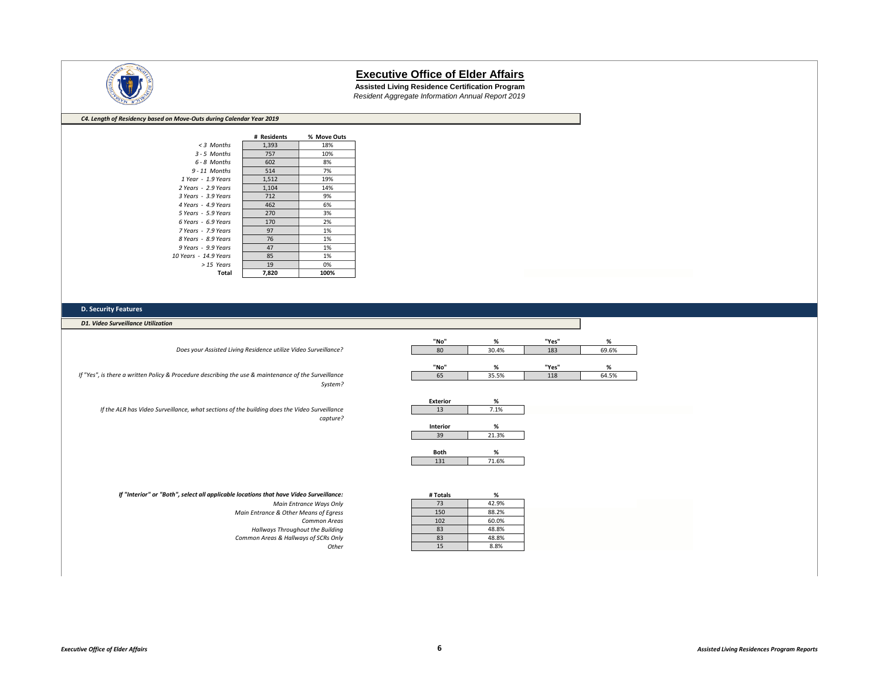

**Assisted Living Residence Certification Program** *Resident Aggregate Information Annual Report 2019*

#### *C4. Length of Residency based on Move-Outs during Calendar Year 2019*

|                       | # Residents | % Move Outs |
|-----------------------|-------------|-------------|
| $<$ 3 Months          | 1,393       | 18%         |
| $3 - 5$ Months        | 757         | 10%         |
| 6 - 8 Months          | 602         | 8%          |
| $9 - 11$ Months       | 514         | 7%          |
| 1 Year - 1.9 Years    | 1,512       | 19%         |
| 2 Years - 2.9 Years   | 1,104       | 14%         |
| 3 Years - 3.9 Years   | 712         | 9%          |
| 4 Years - 4.9 Years   | 462         | 6%          |
| 5 Years - 5.9 Years   | 270         | 3%          |
| 6 Years - 6.9 Years   | 170         | 2%          |
| 7 Years - 7.9 Years   | 97          | 1%          |
| 8 Years - 8.9 Years   | 76          | 1%          |
| 9 Years - 9.9 Years   | 47          | 1%          |
| 10 Years - 14.9 Years | 85          | 1%          |
| > 15 Years            | 19          | 0%          |
| Total                 | 7.820       | 100%        |

#### **D. Security Features**

*D1. Video Surveillance Utilization*

*Does your Assisted Living Residence utilize Video Surveillance?*

*If "Yes", is there a written Policy & Procedure describing the use & maintenance of the Surveillance System?*

*If the ALR has Video Surveillance, what sections of the building does the Video Surveillance capture?*

| "No" | %     | "Yes" | %     |
|------|-------|-------|-------|
| 80   | 30.4% | 183   | 69.6% |
|      |       |       |       |
| "No" | %     | "Yes" | %     |
| 65   | 35.5% | 118   | 64.5% |

| <b>Exterior</b> | %     |
|-----------------|-------|
| 13              | 7.1%  |
|                 |       |
| <b>Interior</b> | %     |
|                 | 21.3% |

| <b>Both</b> |       |
|-------------|-------|
|             | 71.6% |

*If "Interior" or "Both", select all applicable locations that have Video Surveillance:*

| Main Entrance Ways Only                 | 73  | 42.9% |
|-----------------------------------------|-----|-------|
| Main Entrance & Other Means of Earess   | 150 | 88.2% |
| <b>Common Areas</b>                     | 102 | 60.0% |
| <b>Hallways Throughout the Building</b> | 83  | 48.8% |
| Common Areas & Hallways of SCRs Only    | 83  | 48.8% |
| Other                                   |     | 8.8%  |

| : have Video Surveillance: | # Totals | %     |
|----------------------------|----------|-------|
| Main Entrance Ways Only    | 73       | 42.9% |
| & Other Means of Egress    | 150      | 88.2% |
| <b>Common Areas</b>        | 102      | 60.0% |
| s Throughout the Building  | 83       | 48.8% |
| s & Hallways of SCRs Only  | 83       | 48.8% |
| Other                      | 15       | 8.8%  |